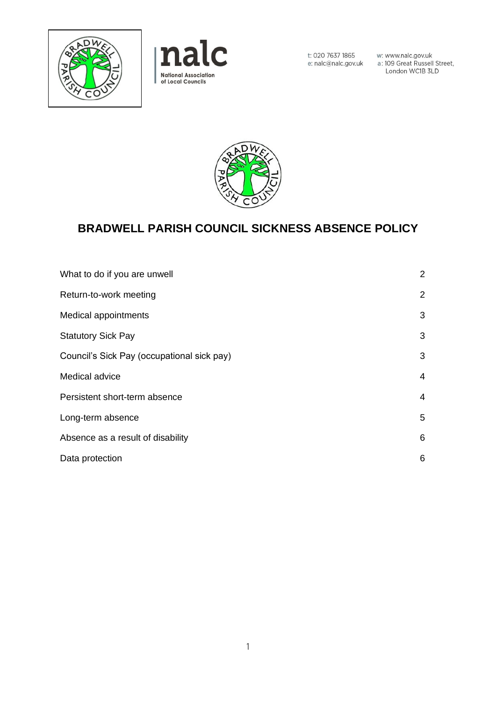



w: www.nalc.gov.uk<br>a: 109 Great Russell Street,<br>London WC1B 3LD



# **BRADWELL PARISH COUNCIL SICKNESS ABSENCE POLICY**

| What to do if you are unwell               | $\mathbf{2}^{\prime}$ |
|--------------------------------------------|-----------------------|
| Return-to-work meeting                     | $\overline{2}$        |
| Medical appointments                       | 3                     |
| <b>Statutory Sick Pay</b>                  | 3                     |
| Council's Sick Pay (occupational sick pay) | 3                     |
| Medical advice                             | 4                     |
| Persistent short-term absence              | 4                     |
| Long-term absence                          | 5                     |
| Absence as a result of disability          | 6                     |
| Data protection                            | 6                     |
|                                            |                       |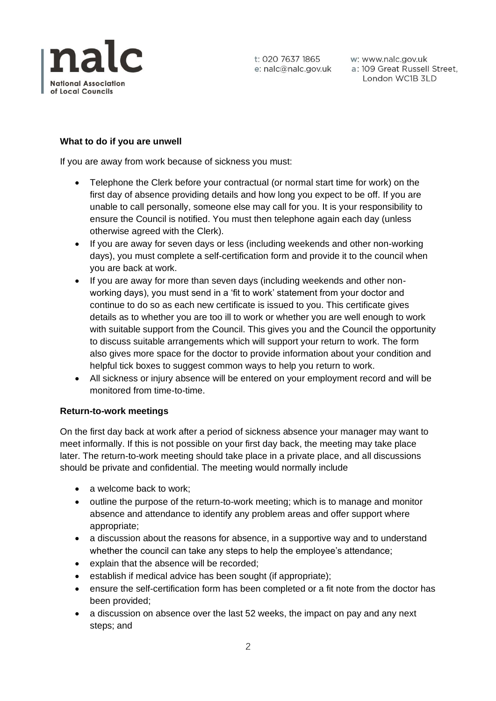

w: www.nalc.gov.uk a: 109 Great Russell Street, London WC1B 3LD

# **What to do if you are unwell**

If you are away from work because of sickness you must:

- Telephone the Clerk before your contractual (or normal start time for work) on the first day of absence providing details and how long you expect to be off. If you are unable to call personally, someone else may call for you. It is your responsibility to ensure the Council is notified. You must then telephone again each day (unless otherwise agreed with the Clerk).
- If you are away for seven days or less (including weekends and other non-working days), you must complete a self-certification form and provide it to the council when you are back at work.
- If you are away for more than seven days (including weekends and other nonworking days), you must send in a 'fit to work' statement from your doctor and continue to do so as each new certificate is issued to you. This certificate gives details as to whether you are too ill to work or whether you are well enough to work with suitable support from the Council. This gives you and the Council the opportunity to discuss suitable arrangements which will support your return to work. The form also gives more space for the doctor to provide information about your condition and helpful tick boxes to suggest common ways to help you return to work.
- All sickness or injury absence will be entered on your employment record and will be monitored from time-to-time.

## **Return-to-work meetings**

On the first day back at work after a period of sickness absence your manager may want to meet informally. If this is not possible on your first day back, the meeting may take place later. The return-to-work meeting should take place in a private place, and all discussions should be private and confidential. The meeting would normally include

- a welcome back to work:
- outline the purpose of the return-to-work meeting; which is to manage and monitor absence and attendance to identify any problem areas and offer support where appropriate;
- a discussion about the reasons for absence, in a supportive way and to understand whether the council can take any steps to help the employee's attendance;
- explain that the absence will be recorded;
- establish if medical advice has been sought (if appropriate);
- ensure the self-certification form has been completed or a fit note from the doctor has been provided;
- a discussion on absence over the last 52 weeks, the impact on pay and any next steps; and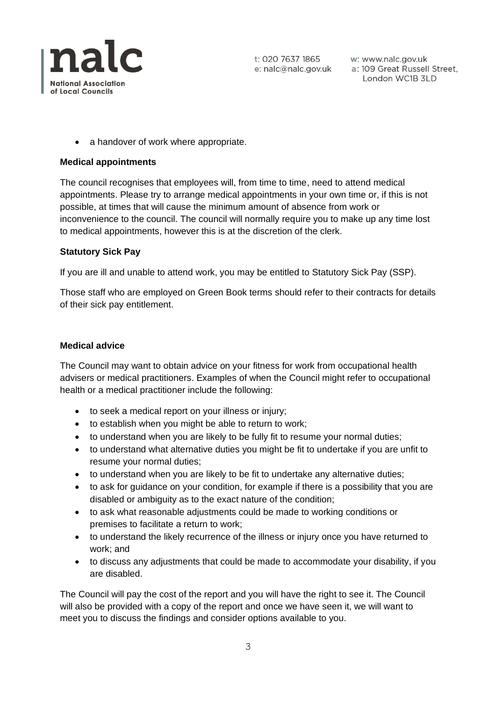

w: www.nalc.gov.uk a: 109 Great Russell Street, London WC1B 3LD

• a handover of work where appropriate.

#### **Medical appointments**

The council recognises that employees will, from time to time, need to attend medical appointments. Please try to arrange medical appointments in your own time or, if this is not possible, at times that will cause the minimum amount of absence from work or inconvenience to the council. The council will normally require you to make up any time lost to medical appointments, however this is at the discretion of the clerk.

#### **Statutory Sick Pay**

If you are ill and unable to attend work, you may be entitled to Statutory Sick Pay (SSP).

Those staff who are employed on Green Book terms should refer to their contracts for details of their sick pay entitlement.

#### **Medical advice**

The Council may want to obtain advice on your fitness for work from occupational health advisers or medical practitioners. Examples of when the Council might refer to occupational health or a medical practitioner include the following:

- to seek a medical report on your illness or injury;
- to establish when you might be able to return to work;
- to understand when you are likely to be fully fit to resume your normal duties;
- to understand what alternative duties you might be fit to undertake if you are unfit to resume your normal duties;
- to understand when you are likely to be fit to undertake any alternative duties;
- to ask for guidance on your condition, for example if there is a possibility that you are disabled or ambiguity as to the exact nature of the condition;
- to ask what reasonable adjustments could be made to working conditions or premises to facilitate a return to work;
- to understand the likely recurrence of the illness or injury once you have returned to work; and
- to discuss any adjustments that could be made to accommodate your disability, if you are disabled.

The Council will pay the cost of the report and you will have the right to see it. The Council will also be provided with a copy of the report and once we have seen it, we will want to meet you to discuss the findings and consider options available to you.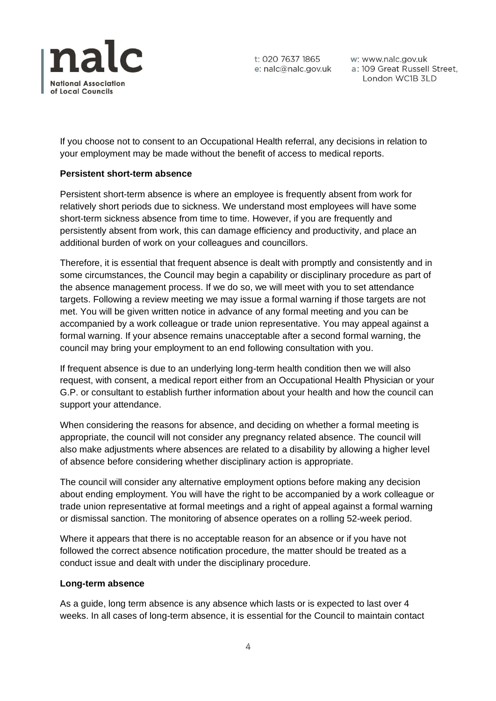

w: www.nalc.gov.uk a: 109 Great Russell Street, London WC1B 3LD

If you choose not to consent to an Occupational Health referral, any decisions in relation to your employment may be made without the benefit of access to medical reports.

## **Persistent short-term absence**

Persistent short-term absence is where an employee is frequently absent from work for relatively short periods due to sickness. We understand most employees will have some short-term sickness absence from time to time. However, if you are frequently and persistently absent from work, this can damage efficiency and productivity, and place an additional burden of work on your colleagues and councillors.

Therefore, it is essential that frequent absence is dealt with promptly and consistently and in some circumstances, the Council may begin a capability or disciplinary procedure as part of the absence management process. If we do so, we will meet with you to set attendance targets. Following a review meeting we may issue a formal warning if those targets are not met. You will be given written notice in advance of any formal meeting and you can be accompanied by a work colleague or trade union representative. You may appeal against a formal warning. If your absence remains unacceptable after a second formal warning, the council may bring your employment to an end following consultation with you.

If frequent absence is due to an underlying long-term health condition then we will also request, with consent, a medical report either from an Occupational Health Physician or your G.P. or consultant to establish further information about your health and how the council can support your attendance.

When considering the reasons for absence, and deciding on whether a formal meeting is appropriate, the council will not consider any pregnancy related absence. The council will also make adjustments where absences are related to a disability by allowing a higher level of absence before considering whether disciplinary action is appropriate.

The council will consider any alternative employment options before making any decision about ending employment. You will have the right to be accompanied by a work colleague or trade union representative at formal meetings and a right of appeal against a formal warning or dismissal sanction. The monitoring of absence operates on a rolling 52-week period.

Where it appears that there is no acceptable reason for an absence or if you have not followed the correct absence notification procedure, the matter should be treated as a conduct issue and dealt with under the disciplinary procedure.

## **Long-term absence**

As a guide, long term absence is any absence which lasts or is expected to last over 4 weeks. In all cases of long-term absence, it is essential for the Council to maintain contact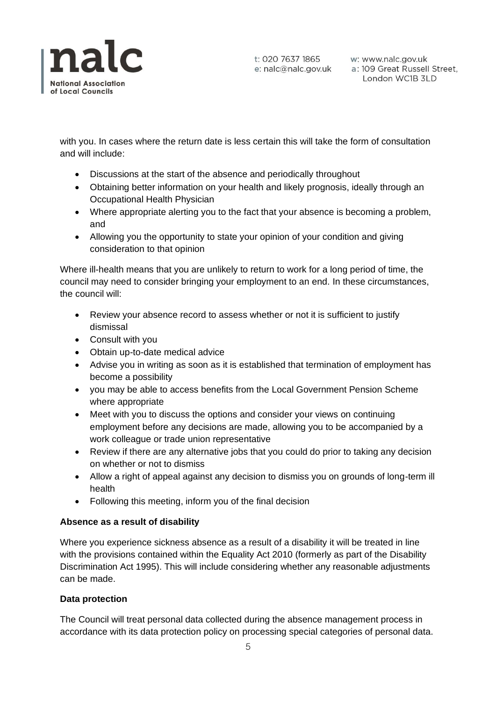

t: 020 7637 1865

t: 020 7637 1865 w: www.nalc.gov.uk<br>e: nalc@nalc.gov.uk a: 109 Great Russell Street, London WC1B 3LD

with you. In cases where the return date is less certain this will take the form of consultation and will include:

- Discussions at the start of the absence and periodically throughout
- Obtaining better information on your health and likely prognosis, ideally through an Occupational Health Physician
- Where appropriate alerting you to the fact that your absence is becoming a problem, and
- Allowing you the opportunity to state your opinion of your condition and giving consideration to that opinion

Where ill-health means that you are unlikely to return to work for a long period of time, the council may need to consider bringing your employment to an end. In these circumstances, the council will:

- Review your absence record to assess whether or not it is sufficient to justify dismissal
- Consult with you
- Obtain up-to-date medical advice
- Advise you in writing as soon as it is established that termination of employment has become a possibility
- you may be able to access benefits from the Local Government Pension Scheme where appropriate
- Meet with you to discuss the options and consider your views on continuing employment before any decisions are made, allowing you to be accompanied by a work colleague or trade union representative
- Review if there are any alternative jobs that you could do prior to taking any decision on whether or not to dismiss
- Allow a right of appeal against any decision to dismiss you on grounds of long-term ill health
- Following this meeting, inform you of the final decision

## **Absence as a result of disability**

Where you experience sickness absence as a result of a disability it will be treated in line with the provisions contained within the Equality Act 2010 (formerly as part of the Disability Discrimination Act 1995). This will include considering whether any reasonable adjustments can be made.

## **Data protection**

The Council will treat personal data collected during the absence management process in accordance with its data protection policy on processing special categories of personal data.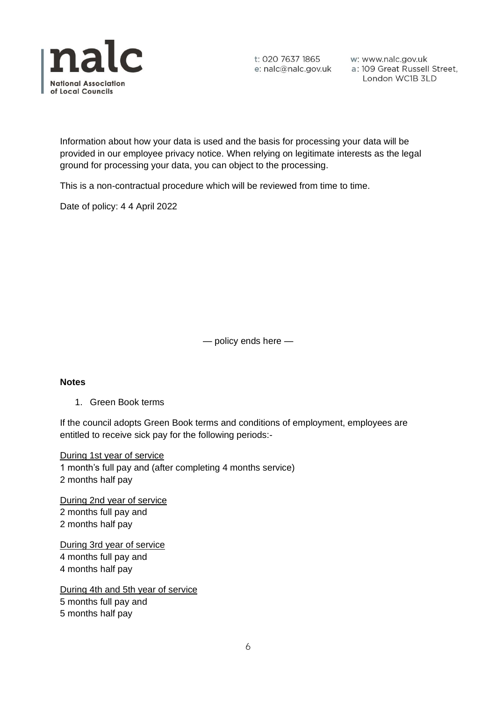

t: 020 7637 1865

t: 020 7637 1865 w: www.nalc.gov.uk<br>e: nalc@nalc.gov.uk a: 109 Great Russell Street, London WC1B 3LD

Information about how your data is used and the basis for processing your data will be provided in our employee privacy notice. When relying on legitimate interests as the legal ground for processing your data, you can object to the processing.

This is a non-contractual procedure which will be reviewed from time to time.

Date of policy: 4 4 April 2022

— policy ends here —

#### **Notes**

1. Green Book terms

If the council adopts Green Book terms and conditions of employment, employees are entitled to receive sick pay for the following periods:-

During 1st year of service 1 month's full pay and (after completing 4 months service) 2 months half pay

During 2nd year of service 2 months full pay and 2 months half pay

During 3rd year of service 4 months full pay and 4 months half pay

During 4th and 5th year of service 5 months full pay and 5 months half pay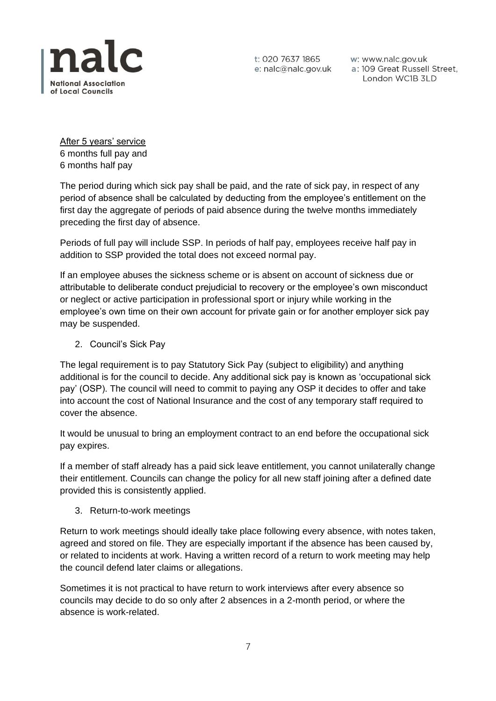

w: www.nalc.gov.uk a: 109 Great Russell Street, London WC1B 3LD

After 5 years' service 6 months full pay and 6 months half pay

The period during which sick pay shall be paid, and the rate of sick pay, in respect of any period of absence shall be calculated by deducting from the employee's entitlement on the first day the aggregate of periods of paid absence during the twelve months immediately preceding the first day of absence.

Periods of full pay will include SSP. In periods of half pay, employees receive half pay in addition to SSP provided the total does not exceed normal pay.

If an employee abuses the sickness scheme or is absent on account of sickness due or attributable to deliberate conduct prejudicial to recovery or the employee's own misconduct or neglect or active participation in professional sport or injury while working in the employee's own time on their own account for private gain or for another employer sick pay may be suspended.

2. Council's Sick Pay

The legal requirement is to pay Statutory Sick Pay (subject to eligibility) and anything additional is for the council to decide. Any additional sick pay is known as 'occupational sick pay' (OSP). The council will need to commit to paying any OSP it decides to offer and take into account the cost of National Insurance and the cost of any temporary staff required to cover the absence.

It would be unusual to bring an employment contract to an end before the occupational sick pay expires.

If a member of staff already has a paid sick leave entitlement, you cannot unilaterally change their entitlement. Councils can change the policy for all new staff joining after a defined date provided this is consistently applied.

3. Return-to-work meetings

Return to work meetings should ideally take place following every absence, with notes taken, agreed and stored on file. They are especially important if the absence has been caused by, or related to incidents at work. Having a written record of a return to work meeting may help the council defend later claims or allegations.

Sometimes it is not practical to have return to work interviews after every absence so councils may decide to do so only after 2 absences in a 2-month period, or where the absence is work-related.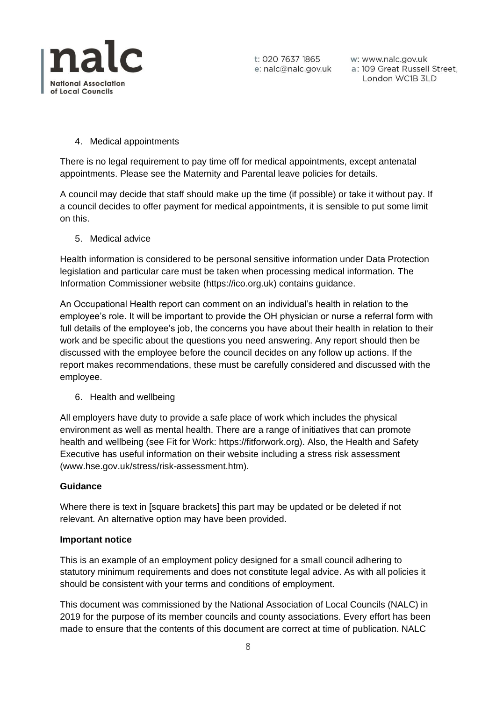

w: www.nalc.gov.uk a: 109 Great Russell Street, London WC1B 3LD

# 4. Medical appointments

There is no legal requirement to pay time off for medical appointments, except antenatal appointments. Please see the Maternity and Parental leave policies for details.

A council may decide that staff should make up the time (if possible) or take it without pay. If a council decides to offer payment for medical appointments, it is sensible to put some limit on this.

5. Medical advice

Health information is considered to be personal sensitive information under Data Protection legislation and particular care must be taken when processing medical information. The Information Commissioner website (https://ico.org.uk) contains guidance.

An Occupational Health report can comment on an individual's health in relation to the employee's role. It will be important to provide the OH physician or nurse a referral form with full details of the employee's job, the concerns you have about their health in relation to their work and be specific about the questions you need answering. Any report should then be discussed with the employee before the council decides on any follow up actions. If the report makes recommendations, these must be carefully considered and discussed with the employee.

6. Health and wellbeing

All employers have duty to provide a safe place of work which includes the physical environment as well as mental health. There are a range of initiatives that can promote health and wellbeing (see Fit for Work: https://fitforwork.org). Also, the Health and Safety Executive has useful information on their website including a stress risk assessment (www.hse.gov.uk/stress/risk-assessment.htm).

## **Guidance**

Where there is text in [square brackets] this part may be updated or be deleted if not relevant. An alternative option may have been provided.

## **Important notice**

This is an example of an employment policy designed for a small council adhering to statutory minimum requirements and does not constitute legal advice. As with all policies it should be consistent with your terms and conditions of employment.

This document was commissioned by the National Association of Local Councils (NALC) in 2019 for the purpose of its member councils and county associations. Every effort has been made to ensure that the contents of this document are correct at time of publication. NALC